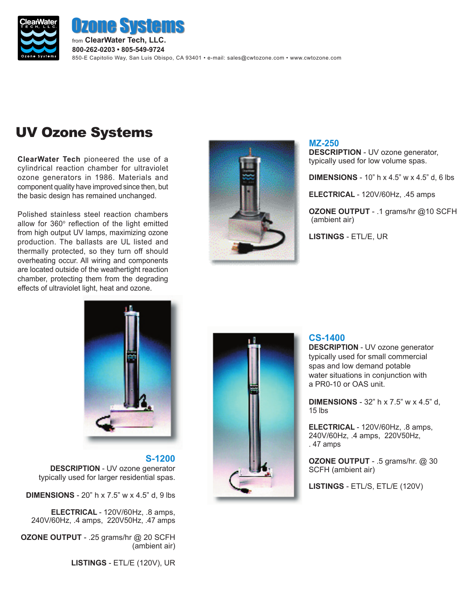

from **ClearWater Tech, LLC. 800-262-0203 • 805-549-9724** 850-E Capitolio Way, San Luis Obispo, CA 93401 • e-mail: sales@cwtozone.com • www.cwtozone.com **e Systems** 

# UV Ozone Systems

**ClearWater Tech** pioneered the use of a cylindrical reaction chamber for ultraviolet ozone generators in 1986. Materials and component quality have improved since then, but the basic design has remained unchanged.

Polished stainless steel reaction chambers allow for  $360^\circ$  reflection of the light emitted from high output UV lamps, maximizing ozone production. The ballasts are UL listed and thermally protected, so they turn off should overheating occur. All wiring and components are located outside of the weathertight reaction chamber, protecting them from the degrading effects of ultraviolet light, heat and ozone.



**MZ-250 DESCRIPTION** - UV ozone generator, typically used for low volume spas.

**DIMENSIONS** - 10" h x 4.5" w x 4.5" d, 6 lbs

**ELECTRICAL** - 120V/60Hz, .45 amps

**OZONE OUTPUT** - .1 grams/hr @10 SCFH (ambient air)

**LISTINGS** - ETL/E, UR



## **S-1200**

**DESCRIPTION** - UV ozone generator typically used for larger residential spas.

**DIMENSIONS** - 20" h x 7.5" w x 4.5" d, 9 lbs

**ELECTRICAL** - 120V/60Hz, .8 amps, 240V/60Hz, .4 amps, 220V50Hz, .47 amps

**OZONE OUTPUT** - .25 grams/hr @ 20 SCFH (ambient air)

**LISTINGS** - ETL/E (120V), UR



#### **CS-1400**

**DESCRIPTION** - UV ozone generator typically used for small commercial spas and low demand potable water situations in conjunction with a PR0-10 or OAS unit.

**DIMENSIONS** - 32" h x 7.5" w x 4.5" d, 15 lbs

**ELECTRICAL** - 120V/60Hz, .8 amps, 240V/60Hz, .4 amps, 220V50Hz, . 47 amps

**OZONE OUTPUT** - .5 grams/hr. @ 30 SCFH (ambient air)

**LISTINGS** - ETL/S, ETL/E (120V)